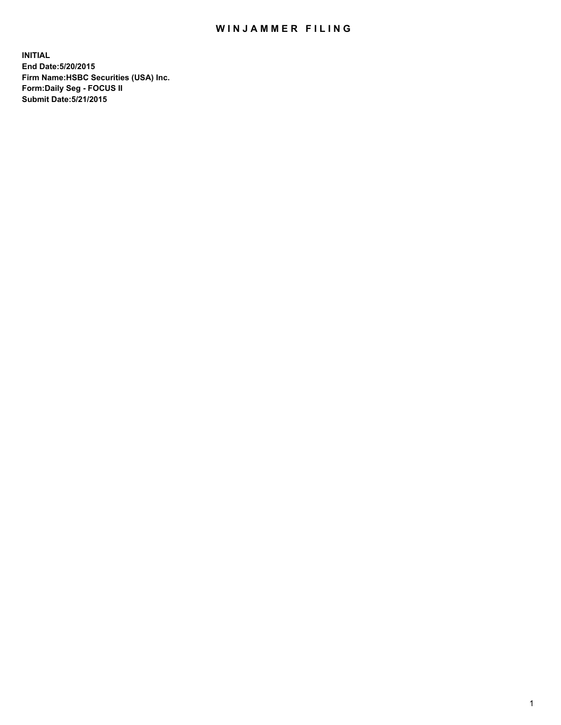## WIN JAMMER FILING

**INITIAL End Date:5/20/2015 Firm Name:HSBC Securities (USA) Inc. Form:Daily Seg - FOCUS II Submit Date:5/21/2015**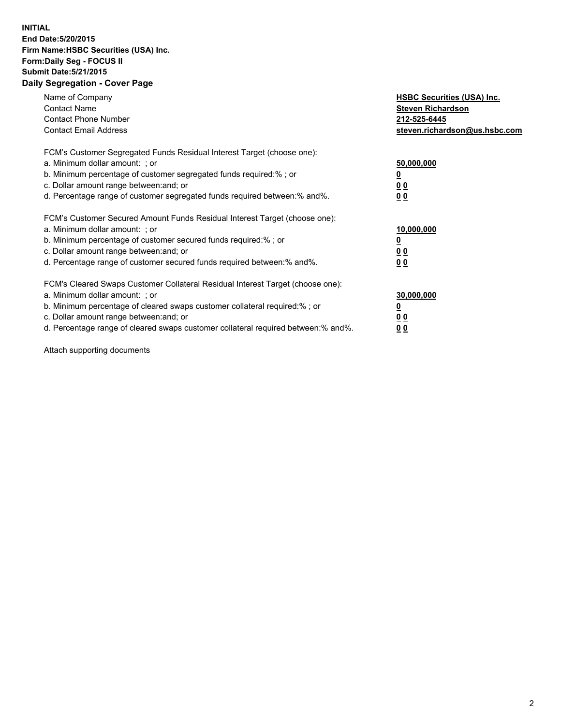## **INITIAL End Date:5/20/2015 Firm Name:HSBC Securities (USA) Inc. Form:Daily Seg - FOCUS II Submit Date:5/21/2015 Daily Segregation - Cover Page**

| Name of Company<br><b>Contact Name</b><br><b>Contact Phone Number</b><br><b>Contact Email Address</b>                                                                                                                                                                                                                          | <b>HSBC Securities (USA) Inc.</b><br><b>Steven Richardson</b><br>212-525-6445<br>steven.richardson@us.hsbc.com |
|--------------------------------------------------------------------------------------------------------------------------------------------------------------------------------------------------------------------------------------------------------------------------------------------------------------------------------|----------------------------------------------------------------------------------------------------------------|
| FCM's Customer Segregated Funds Residual Interest Target (choose one):<br>a. Minimum dollar amount: ; or<br>b. Minimum percentage of customer segregated funds required:%; or<br>c. Dollar amount range between: and; or<br>d. Percentage range of customer segregated funds required between: % and %.                        | 50,000,000<br>0 <sub>0</sub><br>0 <sub>0</sub>                                                                 |
| FCM's Customer Secured Amount Funds Residual Interest Target (choose one):<br>a. Minimum dollar amount: ; or<br>b. Minimum percentage of customer secured funds required:%; or<br>c. Dollar amount range between: and; or<br>d. Percentage range of customer secured funds required between:% and%.                            | 10,000,000<br><u>0</u><br>0 <sub>0</sub><br>0 <sub>0</sub>                                                     |
| FCM's Cleared Swaps Customer Collateral Residual Interest Target (choose one):<br>a. Minimum dollar amount: ; or<br>b. Minimum percentage of cleared swaps customer collateral required:% ; or<br>c. Dollar amount range between: and; or<br>d. Percentage range of cleared swaps customer collateral required between:% and%. | 30,000,000<br>00<br><u>00</u>                                                                                  |

Attach supporting documents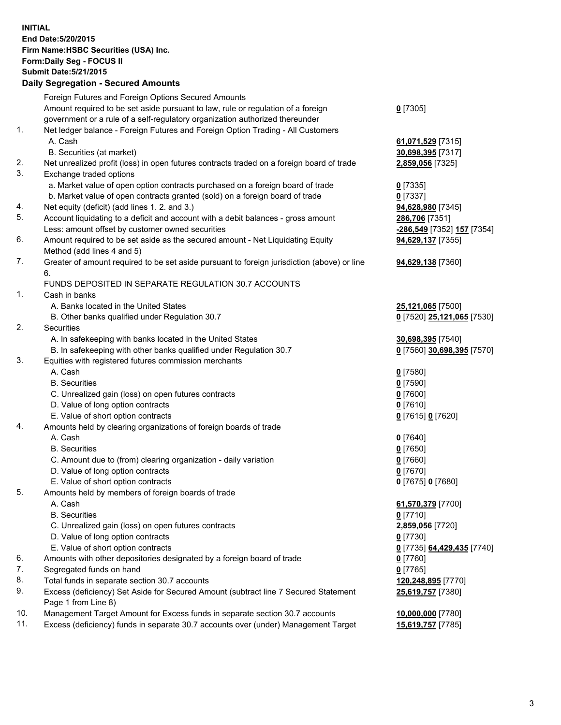**INITIAL End Date:5/20/2015 Firm Name:HSBC Securities (USA) Inc. Form:Daily Seg - FOCUS II Submit Date:5/21/2015 Daily Segregation - Secured Amounts** Foreign Futures and Foreign Options Secured Amounts Amount required to be set aside pursuant to law, rule or regulation of a foreign government or a rule of a self-regulatory organization authorized thereunder **0** [7305] 1. Net ledger balance - Foreign Futures and Foreign Option Trading - All Customers A. Cash **61,071,529** [7315] B. Securities (at market) **30,698,395** [7317] 2. Net unrealized profit (loss) in open futures contracts traded on a foreign board of trade **2,859,056** [7325] 3. Exchange traded options a. Market value of open option contracts purchased on a foreign board of trade **0** [7335] b. Market value of open contracts granted (sold) on a foreign board of trade **0** [7337] 4. Net equity (deficit) (add lines 1. 2. and 3.) **94,628,980** [7345] 5. Account liquidating to a deficit and account with a debit balances - gross amount **286,706** [7351] Less: amount offset by customer owned securities **-286,549** [7352] **157** [7354] 6. Amount required to be set aside as the secured amount - Net Liquidating Equity Method (add lines 4 and 5) **94,629,137** [7355] 7. Greater of amount required to be set aside pursuant to foreign jurisdiction (above) or line 6. **94,629,138** [7360] FUNDS DEPOSITED IN SEPARATE REGULATION 30.7 ACCOUNTS 1. Cash in banks A. Banks located in the United States **25,121,065** [7500] B. Other banks qualified under Regulation 30.7 **0** [7520] **25,121,065** [7530] 2. Securities A. In safekeeping with banks located in the United States **30,698,395** [7540] B. In safekeeping with other banks qualified under Regulation 30.7 **0** [7560] **30,698,395** [7570] 3. Equities with registered futures commission merchants A. Cash **0** [7580] B. Securities **0** [7590] C. Unrealized gain (loss) on open futures contracts **0** [7600] D. Value of long option contracts **0** [7610] E. Value of short option contracts **0** [7615] **0** [7620] 4. Amounts held by clearing organizations of foreign boards of trade A. Cash **0** [7640] B. Securities **0** [7650] C. Amount due to (from) clearing organization - daily variation **0** [7660] D. Value of long option contracts **0** [7670] E. Value of short option contracts **0** [7675] **0** [7680]

- 5. Amounts held by members of foreign boards of trade
	- A. Cash **61,570,379** [7700]
	- B. Securities **0** [7710]
	- C. Unrealized gain (loss) on open futures contracts **2,859,056** [7720]
	- D. Value of long option contracts **0** [7730]
	- E. Value of short option contracts **0** [7735] **64,429,435** [7740]
- 6. Amounts with other depositories designated by a foreign board of trade **0** [7760]
- 7. Segregated funds on hand **0** [7765]
- 8. Total funds in separate section 30.7 accounts **120,248,895** [7770]
- 9. Excess (deficiency) Set Aside for Secured Amount (subtract line 7 Secured Statement Page 1 from Line 8)
- 10. Management Target Amount for Excess funds in separate section 30.7 accounts **10,000,000** [7780]
- 11. Excess (deficiency) funds in separate 30.7 accounts over (under) Management Target **15,619,757** [7785]

**25,619,757** [7380]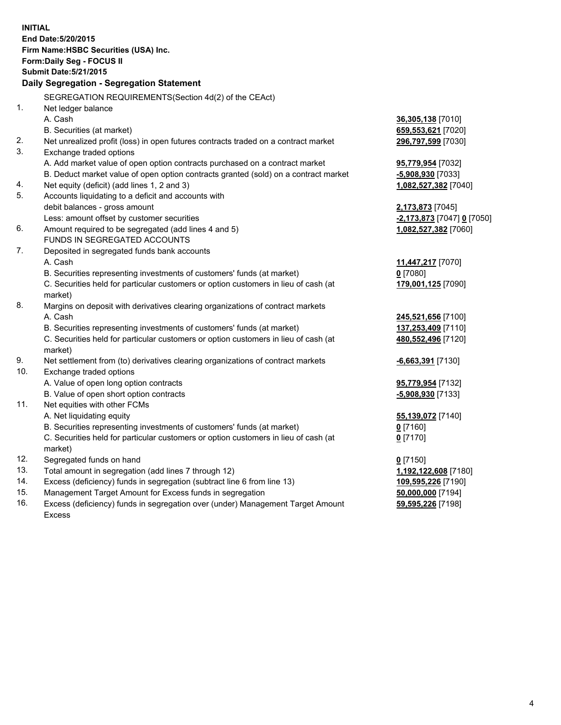| <b>INITIAL</b> | End Date: 5/20/2015<br>Firm Name: HSBC Securities (USA) Inc.<br>Form: Daily Seg - FOCUS II<br><b>Submit Date: 5/21/2015</b><br>Daily Segregation - Segregation Statement |                                           |
|----------------|--------------------------------------------------------------------------------------------------------------------------------------------------------------------------|-------------------------------------------|
|                | SEGREGATION REQUIREMENTS(Section 4d(2) of the CEAct)                                                                                                                     |                                           |
| 1.             | Net ledger balance                                                                                                                                                       |                                           |
|                | A. Cash                                                                                                                                                                  | 36,305,138 [7010]                         |
|                | B. Securities (at market)                                                                                                                                                | 659,553,621 [7020]                        |
| 2.             | Net unrealized profit (loss) in open futures contracts traded on a contract market                                                                                       | 296,797,599 [7030]                        |
| 3.             | Exchange traded options                                                                                                                                                  |                                           |
|                | A. Add market value of open option contracts purchased on a contract market                                                                                              | 95,779,954 [7032]                         |
| 4.             | B. Deduct market value of open option contracts granted (sold) on a contract market<br>Net equity (deficit) (add lines 1, 2 and 3)                                       | -5,908,930 [7033]<br>1,082,527,382 [7040] |
| 5.             | Accounts liquidating to a deficit and accounts with                                                                                                                      |                                           |
|                | debit balances - gross amount                                                                                                                                            | 2,173,873 [7045]                          |
|                | Less: amount offset by customer securities                                                                                                                               | -2,173,873 [7047] 0 [7050]                |
| 6.             | Amount required to be segregated (add lines 4 and 5)                                                                                                                     | 1,082,527,382 [7060]                      |
|                | FUNDS IN SEGREGATED ACCOUNTS                                                                                                                                             |                                           |
| 7.             | Deposited in segregated funds bank accounts                                                                                                                              |                                           |
|                | A. Cash                                                                                                                                                                  | 11,447,217 [7070]                         |
|                | B. Securities representing investments of customers' funds (at market)                                                                                                   | $0$ [7080]                                |
|                | C. Securities held for particular customers or option customers in lieu of cash (at<br>market)                                                                           | 179,001,125 [7090]                        |
| 8.             | Margins on deposit with derivatives clearing organizations of contract markets                                                                                           |                                           |
|                | A. Cash                                                                                                                                                                  | 245,521,656 [7100]                        |
|                | B. Securities representing investments of customers' funds (at market)                                                                                                   | 137,253,409 [7110]                        |
|                | C. Securities held for particular customers or option customers in lieu of cash (at<br>market)                                                                           | 480,552,496 [7120]                        |
| 9.             | Net settlement from (to) derivatives clearing organizations of contract markets                                                                                          | <b>6,663,391</b> [7130]                   |
| 10.            | Exchange traded options                                                                                                                                                  |                                           |
|                | A. Value of open long option contracts                                                                                                                                   | 95,779,954 [7132]                         |
|                | B. Value of open short option contracts                                                                                                                                  | -5,908,930 [7133]                         |
| 11.            | Net equities with other FCMs                                                                                                                                             |                                           |
|                | A. Net liquidating equity                                                                                                                                                | 55,139,072 [7140]                         |
|                | B. Securities representing investments of customers' funds (at market)                                                                                                   | $0$ [7160]                                |
|                | C. Securities held for particular customers or option customers in lieu of cash (at<br>market)                                                                           | $0$ [7170]                                |
| 12.            | Segregated funds on hand                                                                                                                                                 | $0$ [7150]                                |
| 13.            | Total amount in segregation (add lines 7 through 12)                                                                                                                     | 1,192,122,608 [7180]                      |
| 14.            | Excess (deficiency) funds in segregation (subtract line 6 from line 13)                                                                                                  | 109,595,226 [7190]                        |
| 15.            | Management Target Amount for Excess funds in segregation                                                                                                                 | 50,000,000 [7194]                         |
| 16.            | Excess (deficiency) funds in segregation over (under) Management Target Amount<br>Excess                                                                                 | 59,595,226 [7198]                         |